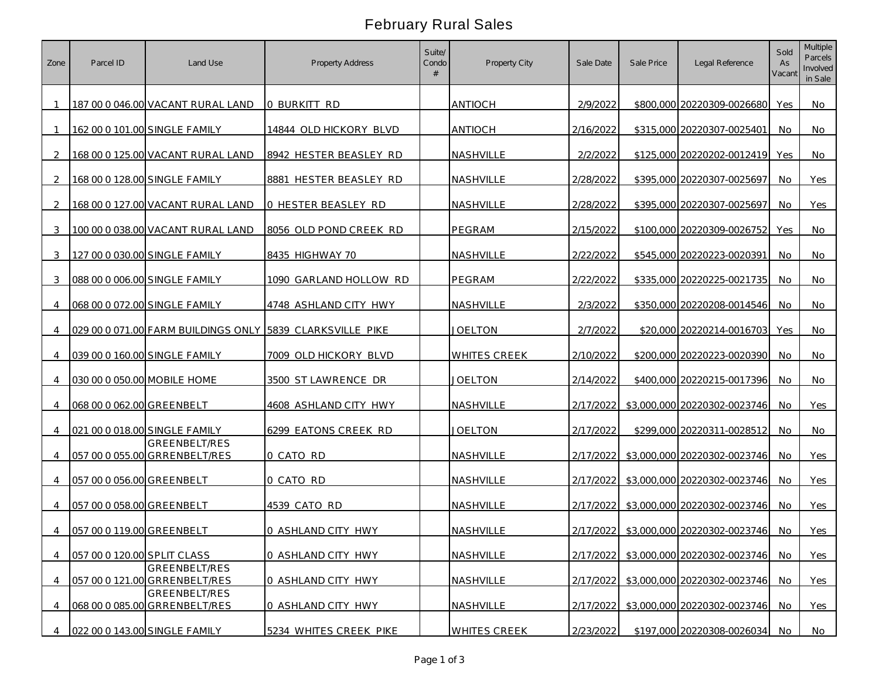## February Rural Sales

| Zone           | Parcel ID                   | Land Use                                              | <b>Property Address</b>                                    | Suite/<br>Condo | <b>Property City</b> | Sale Date | Sale Price | Legal Reference                        | Sold<br>As<br>Vacant | <b>Multiple</b><br>Parcels<br>Involved<br>in Sale |
|----------------|-----------------------------|-------------------------------------------------------|------------------------------------------------------------|-----------------|----------------------|-----------|------------|----------------------------------------|----------------------|---------------------------------------------------|
|                |                             | 187 00 0 046.00 VACANT RURAL LAND                     | O BURKITT RD                                               |                 | <b>ANTIOCH</b>       | 2/9/2022  |            | \$800,000 20220309-0026680             | Yes                  | No                                                |
|                |                             | 162 00 0 101.00 SINGLE FAMILY                         | 14844 OLD HICKORY BLVD                                     |                 | <b>ANTIOCH</b>       | 2/16/2022 |            | \$315,000 20220307-0025401             | No                   | No                                                |
| $\mathcal{P}$  |                             | 168 00 0 125.00 VACANT RURAL LAND                     | 8942 HESTER BEASLEY RD                                     |                 | <b>NASHVILLE</b>     | 2/2/2022  |            | \$125,000 20220202-0012419             | Yes                  | No                                                |
| 2              |                             | 168 00 0 128.00 SINGLE FAMILY                         | 8881 HESTER BEASLEY RD                                     |                 | NASHVILLE            | 2/28/2022 |            | \$395,000 20220307-0025697             | No                   | Yes                                               |
| $\mathcal{D}$  |                             | 168 00 0 127.00 VACANT RURAL LAND                     | 0 HESTER BEASLEY RD                                        |                 | NASHVILLE            | 2/28/2022 |            | \$395,000 20220307-0025697             | No                   | Yes                                               |
| 3              |                             | 100 00 0 038.00 VACANT RURAL LAND                     | 8056 OLD POND CREEK RD                                     |                 | PEGRAM               | 2/15/2022 |            | \$100,000 20220309-0026752             | Yes                  | No                                                |
| 3              |                             | 127 00 0 030.00 SINGLE FAMILY                         | 8435 HIGHWAY 70                                            |                 | NASHVILLE            | 2/22/2022 |            | \$545,000 20220223-0020391             | No                   | No                                                |
| 3              |                             | 088 00 0 006.00 SINGLE FAMILY                         | 1090 GARLAND HOLLOW RD                                     |                 | PEGRAM               | 2/22/2022 |            | \$335,000 20220225-0021735             | No.                  | No                                                |
| 4              |                             | 068 00 0 072.00 SINGLE FAMILY                         | 4748 ASHLAND CITY HWY                                      |                 | <b>NASHVILLE</b>     | 2/3/2022  |            | \$350,000 20220208-0014546             | No                   | No                                                |
| 4              |                             |                                                       | 029 00 0 071.00 FARM BUILDINGS ONLY 15839 CLARKSVILLE PIKE |                 | JOELTON              | 2/7/2022  |            | \$20,000 20220214-0016703              | Yes                  | No.                                               |
| 4              |                             | 039 00 0 160.00 SINGLE FAMILY                         | 7009 OLD HICKORY BLVD                                      |                 | <b>WHITES CREEK</b>  | 2/10/2022 |            | \$200,000 20220223-0020390             | No.                  | No                                                |
|                | 030 00 0 050.00 MOBILE HOME |                                                       | 3500 ST LAWRENCE DR                                        |                 | JOELTON              | 2/14/2022 |            | \$400,000 20220215-0017396             | No.                  | No                                                |
| 4              | 068 00 0 062.00 GREENBELT   |                                                       | 4608 ASHLAND CITY HWY                                      |                 | NASHVILLE            | 2/17/2022 |            | \$3,000,000 20220302-0023746           | No                   | Yes                                               |
| 4              |                             | 021 00 0 018.00 SINGLE FAMILY                         | 6299 EATONS CREEK RD                                       |                 | JOELTON              | 2/17/2022 |            | \$299,000 20220311-0028512             | No                   | No                                                |
| 4              |                             | GREENBELT/RES<br>057 00 0 055.00 GRRENBELT/RES        | 0 CATO RD                                                  |                 | NASHVILLE            | 2/17/2022 |            | \$3,000,000 20220302-0023746           | No.                  | Yes                                               |
|                | 057 00 0 056.00 GREENBELT   |                                                       | 0 CATO RD                                                  |                 | NASHVILLE            |           |            | 2/17/2022 \$3,000,000 20220302-0023746 | No.                  | Yes                                               |
|                | 057 00 0 058.00 GREENBELT   |                                                       | 4539 CATO RD                                               |                 | NASHVILLE            |           |            | 2/17/2022 \$3,000,000 20220302-0023746 | No.                  | Yes                                               |
| 4              | 057 00 0 119.00 GREENBELT   |                                                       | 0 ASHLAND CITY HWY                                         |                 | <b>NASHVILLE</b>     |           |            | 2/17/2022 \$3,000,000 20220302-0023746 | No.                  | Yes                                               |
| $\overline{4}$ | 057 00 0 120.00 SPLIT CLASS |                                                       | 0 ASHLAND CITY HWY                                         |                 | NASHVILLE            |           |            | 2/17/2022 \$3,000,000 20220302-0023746 | No.                  | Yes                                               |
| 4              |                             | GREENBELT/RES<br>057 00 0 121.00 GRRENBELT/RES        | 0 ASHLAND CITY HWY                                         |                 | NASHVILLE            |           |            | 2/17/2022 \$3,000,000 20220302-0023746 | No.                  | Yes                                               |
| 4              |                             | <b>GREENBELT/RES</b><br>068 00 0 085.00 GRRENBELT/RES | 0 ASHLAND CITY HWY                                         |                 | NASHVILLE            |           |            | 2/17/2022 \$3,000,000 20220302-0023746 | <b>No</b>            | Yes                                               |
| 4              |                             | 022 00 0 143.00 SINGLE FAMILY                         | 5234 WHITES CREEK PIKE                                     |                 | <b>WHITES CREEK</b>  | 2/23/2022 |            | \$197,000 20220308-0026034             | No                   | No                                                |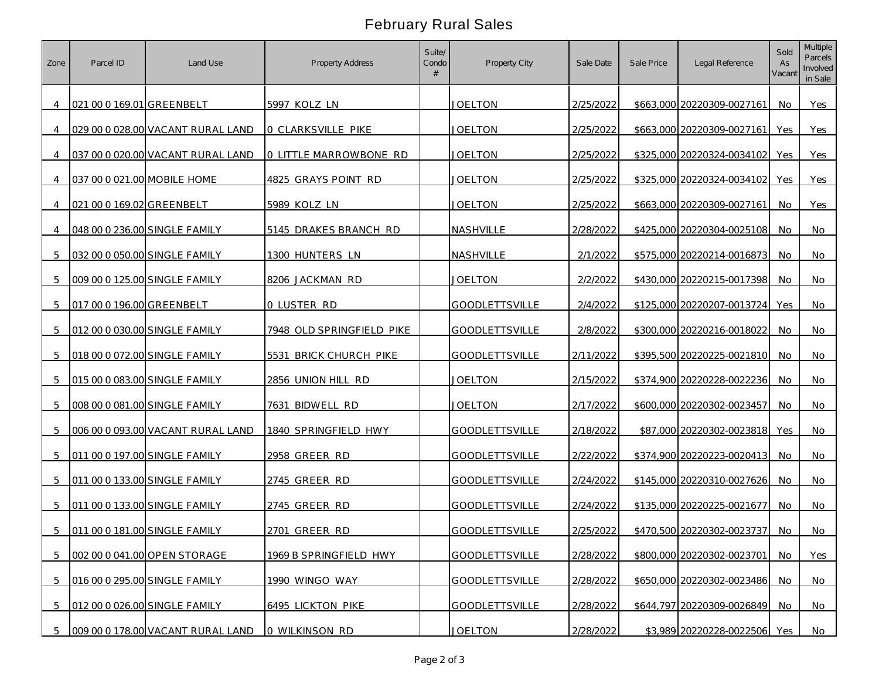## February Rural Sales

| Zone           | Parcel ID                   | Land Use                            | Property Address          | Suite/<br>Condo | Property City         | Sale Date | Sale Price | Legal Reference               | Sold<br>As<br>Vacant | Multiple<br>Parcels<br>Involved<br>in Sale |
|----------------|-----------------------------|-------------------------------------|---------------------------|-----------------|-----------------------|-----------|------------|-------------------------------|----------------------|--------------------------------------------|
| 4              | 021 00 0 169.01 GREENBELT   |                                     | 5997 KOLZ LN              |                 | JOELTON               | 2/25/2022 |            | \$663,000 20220309-0027161    | No.                  | Yes                                        |
| 4              |                             | 029 00 0 028.00 VACANT RURAL LAND   | O CLARKSVILLE PIKE        |                 | JOELTON               | 2/25/2022 |            | \$663,000 20220309-0027161    | Yes                  | Yes                                        |
| $\overline{4}$ |                             | 037 00 0 020.00 VACANT RURAL LAND   | O LITTLE MARROWBONE RD    |                 | JOELTON               | 2/25/2022 |            | \$325,000 20220324-0034102    | Yes                  | Yes                                        |
|                | 037 00 0 021.00 MOBILE HOME |                                     | 4825 GRAYS POINT RD       |                 | <b>JOELTON</b>        | 2/25/2022 |            | \$325,000 20220324-0034102    | Yes                  | Yes                                        |
| $\overline{4}$ | 021 00 0 169.02 GREENBELT   |                                     | 5989 KOLZ LN              |                 | JOELTON               | 2/25/2022 |            | \$663,000 20220309-0027161    | No.                  | Yes                                        |
| $\overline{4}$ |                             | 048 00 0 236.00 SINGLE FAMILY       | 5145 DRAKES BRANCH RD     |                 | NASHVILLE             | 2/28/2022 |            | \$425,000 20220304-0025108    | No                   | No                                         |
|                |                             | 032 00 0 050.00 SINGLE FAMILY       | 1300 HUNTERS LN           |                 | NASHVILLE             | 2/1/2022  |            | \$575,000 20220214-0016873    | No.                  | No                                         |
| 5              |                             | 009 00 0 125.00 SINGLE FAMILY       | 8206 JACKMAN RD           |                 | <b>JOELTON</b>        | 2/2/2022  |            | \$430,000 20220215-0017398    | No                   | No                                         |
| 5              | 017 00 0 196.00 GREENBELT   |                                     | 0 LUSTER RD               |                 | <b>GOODLETTSVILLE</b> | 2/4/2022  |            | \$125,000 20220207-0013724    | Yes                  | No                                         |
| 5              |                             | 012 00 0 030.00 SINGLE FAMILY       | 7948 OLD SPRINGFIELD PIKE |                 | <b>GOODLETTSVILLE</b> | 2/8/2022  |            | \$300,000 20220216-0018022    | No                   | No                                         |
| .5             |                             | 018 00 0 072.00 SINGLE FAMILY       | 5531 BRICK CHURCH PIKE    |                 | <b>GOODLETTSVILLE</b> | 2/11/2022 |            | \$395,500 20220225-0021810    | No                   | <b>No</b>                                  |
| -5             |                             | 015 00 0 083.00 SINGLE FAMILY       | 2856 UNION HILL RD        |                 | JOELTON               | 2/15/2022 |            | \$374,900 20220228-0022236    | No                   | No                                         |
| 5              |                             | 008 00 0 081.00 SINGLE FAMILY       | 7631 BIDWELL RD           |                 | JOELTON               | 2/17/2022 |            | \$600,000 20220302-0023457    | No                   | No                                         |
| 5              |                             | 006 00 0 093.00 VACANT RURAL LAND   | 1840 SPRINGFIELD HWY      |                 | <b>GOODLETTSVILLE</b> | 2/18/2022 |            | \$87,000 20220302-0023818     | Yes                  | No                                         |
| 5              |                             | 011 00 0 197.00 SINGLE FAMILY       | 2958 GREER RD             |                 | <b>GOODLETTSVILLE</b> | 2/22/2022 |            | \$374,900 20220223-0020413    | No.                  | No                                         |
| 5              |                             | 011 00 0 133.00 SINGLE FAMILY       | 2745 GREER RD             |                 | <b>GOODLETTSVILLE</b> | 2/24/2022 |            | \$145,000 20220310-0027626    | No                   | No                                         |
| 5              |                             | 011 00 0 133.00 SINGLE FAMILY       | 2745 GREER RD             |                 | <b>GOODLETTSVILLE</b> | 2/24/2022 |            | \$135,000 20220225-0021677    | No.                  | No                                         |
|                |                             | 5 011 00 0 181.00 SINGLE FAMILY     | 2701 GREER RD             |                 | <b>GOODLETTSVILLE</b> | 2/25/2022 |            | \$470,500 20220302-0023737    | No.                  | No                                         |
| 5              |                             | 002 00 0 041.00 OPEN STORAGE        | 1969 B SPRINGFIELD HWY    |                 | <b>GOODLETTSVILLE</b> | 2/28/2022 |            | \$800,000 20220302-0023701    | No.                  | Yes                                        |
| 5              |                             | 016 00 0 295.00 SINGLE FAMILY       | 1990 WINGO WAY            |                 | GOODLETTSVILLE        | 2/28/2022 |            | \$650,000 20220302-0023486 No |                      | No                                         |
| 5              |                             | 012 00 0 026.00 SINGLE FAMILY       | 6495 LICKTON PIKE         |                 | <b>GOODLETTSVILLE</b> | 2/28/2022 |            | \$644,797 20220309-0026849    | <b>No</b>            | No                                         |
|                |                             | 5 009 00 0 178.00 VACANT RURAL LAND | 0 WILKINSON RD            |                 | <b>JOELTON</b>        | 2/28/2022 |            | \$3,989 20220228-0022506 Yes  |                      | No                                         |